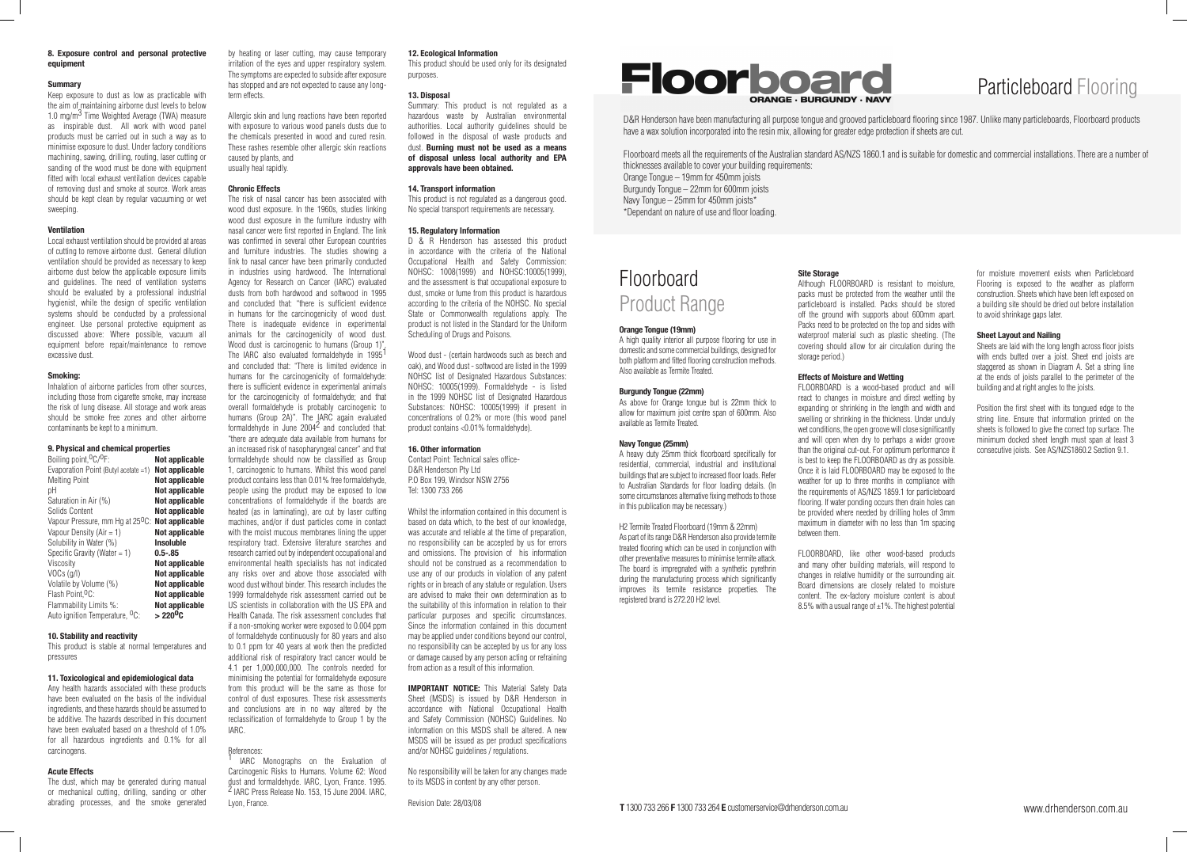# Particleboard Flooring

D&R Henderson have been manufacturing all purpose tongue and grooved particleboard flooring since 1987. Unlike many particleboards, Floorboard products have a wax solution incorporated into the resin mix, allowing for greater edge protection if sheets are cut.

Floorboard meets all the requirements of the Australian standard AS/NZS 1860.1 and is suitable for domestic and commercial installations. There are a number of thicknesses available to cover your building requirements: Orange Tongue – 19mm for 450mm joists Burgundy Tongue – 22mm for 600mm joists Navy Tongue – 25mm for 450mm joists\* \*Dependant on nature of use and floor loading.

# Floorboard Product Range

### **Orange Tongue (19mm)**

A high quality interior all purpose flooring for use in domestic and some commercial buildings, designed for both platform and fitted flooring construction methods. Also available as Termite Treated.

### **Burgundy Tongue (22mm)**

As above for Orange tongue but is 22mm thick to allow for maximum joist centre span of 600mm. Also available as Termite Treated.

### **Navy Tongue (25mm)**

A heavy duty 25mm thick floorboard specifically for residential, commercial, industrial and institutional buildings that are subject to increased floor loads. Refer to Australian Standards for floor loading details. (In some circumstances alternative fixing methods to those in this publication may be necessary.)

> FLOORBOARD, like other wood-based products and many other building materials, will respond to changes in relative humidity or the surrounding air. Board dimensions are closely related to moisture content. The ex-factory moisture content is about 8.5% with a usual range of  $\pm 1$ %. The highest potential

H2 Termite Treated Floorboard (19mm & 22mm) As part of its range D&R Henderson also provide termite treated flooring which can be used in conjunction with other preventative measures to minimise termite attack. The board is impregnated with a synthetic pyrethrin during the manufacturing process which significantly improves its termite resistance properties. The registered brand is 272.20 H2 level.

### **Site Storage**

Although FLOORBOARD is resistant to moisture, packs must be protected from the weather until the particleboard is installed. Packs should be stored off the ground with supports about 600mm apart. Packs need to be protected on the top and sides with waterproof material such as plastic sheeting. (The covering should allow for air circulation during the storage period.)

# **Effects of Moisture and Wetting**

FLOORBOARD is a wood-based product and will react to changes in moisture and direct wetting by expanding or shrinking in the length and width and swelling or shrinking in the thickness. Under unduly wet conditions, the open groove will close significantly and will open when dry to perhaps a wider groove than the original cut-out. For optimum performance it is best to keep the FLOORBOARD as dry as possible. Once it is laid FLOORBOARD may be exposed to the weather for up to three months in compliance with the requirements of AS/NZS 1859.1 for particleboard flooring. If water ponding occurs then drain holes can be provided where needed by drilling holes of 3mm maximum in diameter with no less than 1m spacing between them.

for moisture movement exists when Particleboard Flooring is exposed to the weather as platform construction. Sheets which have been left exposed on a building site should be dried out before installation to avoid shrinkage gaps later.

# **Sheet Layout and Nailing**

Sheets are laid with the long length across floor joists with ends butted over a joist. Sheet end joists are staggered as shown in Diagram A. Set a string line at the ends of joists parallel to the perimeter of the building and at right angles to the joists.

Position the first sheet with its tongued edge to the string line. Ensure that information printed on the sheets is followed to give the correct top surface. The minimum docked sheet length must span at least 3 consecutive joists. See AS/NZS1860.2 Section 9.1.



## **8. Exposure control and personal protective equipment**

### **Summary**

Keep exposure to dust as low as practicable with the aim of maintaining airborne dust levels to below 1.0 mg/m<sup>3</sup> Time Weighted Average (TWA) measure as inspirable dust. All work with wood panel products must be carried out in such a way as to minimise exposure to dust. Under factory conditions machining, sawing, drilling, routing, laser cutting or sanding of the wood must be done with equipment fitted with local exhaust ventilation devices capable of removing dust and smoke at source. Work areas should be kept clean by regular vacuuming or wet sweeping.

## **Ventilation**

Local exhaust ventilation should be provided at areas of cutting to remove airborne dust. General dilution ventilation should be provided as necessary to keep airborne dust below the applicable exposure limits and guidelines. The need of ventilation systems should be evaluated by a professional industrial hygienist, while the design of specific ventilation systems should be conducted by a professional engineer. Use personal protective equipment as discussed above: Where possible, vacuum all equipment before repair/maintenance to remove excessive dust.

### **Smoking:**

Inhalation of airborne particles from other sources, including those from cigarette smoke, may increase the risk of lung disease. All storage and work areas should be smoke free zones and other airborne contaminants be kept to a minimum.

D & R Henderson has assessed this product in accordance with the criteria of the National Occupational Health and Safety Commission: NOHSC: 1008(1999) and NOHSC:10005(1999), and the assessment is that occupational exposure to dust, smoke or fume from this product is hazardous according to the criteria of the NOHSC. No special State or Commonwealth regulations apply. The product is not listed in the Standard for the Uniform Scheduling of Drugs and Poisons.

### **9. Physical and chemical properties**

| Boiling point, <sup>O</sup> C/ <sup>O</sup> F:                     | Not applicable        |
|--------------------------------------------------------------------|-----------------------|
| Evaporation Point (Butyl acetate =1)                               | <b>Not applicable</b> |
| <b>Melting Point</b>                                               | <b>Not applicable</b> |
| рH                                                                 | <b>Not applicable</b> |
| Saturation in Air (%)                                              | <b>Not applicable</b> |
| Solids Content                                                     | Not applicable        |
| Vapour Pressure, mm Hg at 25 <sup>0</sup> C: <b>Not applicable</b> |                       |
| Vapour Density ( $Air = 1$ )                                       | Not applicable        |
| Solubility in Water (%)                                            | <b>Insoluble</b>      |
| Specific Gravity (Water $= 1$ )                                    | $0.5 - 0.85$          |
| Viscosity                                                          | Not applicable        |
| $VOCs$ (g/l)                                                       | Not applicable        |
| Volatile by Volume (%)                                             | Not applicable        |
| Flash Point, <sup>O</sup> C:                                       | Not applicable        |
| Flammability Limits %:                                             | <b>Not applicable</b> |
| Auto ignition Temperature, <sup>O</sup> C:                         | $>220^{\circ}$ C      |

### **10. Stability and reactivity**

This product is stable at normal temperatures and pressures

### **11. Toxicological and epidemiological data**

**IMPORTANT NOTICE:** This Material Safety Data Sheet (MSDS) is issued by D&R Henderson in accordance with National Occupational Health and Safety Commission (NOHSC) Guidelines. No information on this MSDS shall be altered. A new MSDS will be issued as per product specifications and/or NOHSC guidelines / regulations.

Any health hazards associated with these products have been evaluated on the basis of the individual ingredients, and these hazards should be assumed to be additive. The hazards described in this document have been evaluated based on a threshold of 1.0% for all hazardous ingredients and 0.1% for all carcinogens.

### **Acute Effects**

The dust, which may be generated during manual or mechanical cutting, drilling, sanding or other abrading processes, and the smoke generated by heating or laser cutting, may cause temporary irritation of the eyes and upper respiratory system. The symptoms are expected to subside after exposure has stopped and are not expected to cause any longterm effects.

Allergic skin and lung reactions have been reported with exposure to various wood panels dusts due to the chemicals presented in wood and cured resin. These rashes resemble other allergic skin reactions caused by plants, and usually heal rapidly.

# **Chronic Effects**

The risk of nasal cancer has been associated with wood dust exposure. In the 1960s, studies linking wood dust exposure in the furniture industry with nasal cancer were first reported in England. The link was confirmed in several other European countries and furniture industries. The studies showing a link to nasal cancer have been primarily conducted in industries using hardwood. The International Agency for Research on Cancer (IARC) evaluated dusts from both hardwood and softwood in 1995 and concluded that: "there is sufficient evidence in humans for the carcinogenicity of wood dust. There is inadequate evidence in experimental animals for the carcinogenicity of wood dust. Wood dust is carcinogenic to humans (Group 1)". The IARC also evaluated formaldehyde in  $1995<sup>1</sup>$ and concluded that: "There is limited evidence in humans for the carcinogenicity of formaldehyde: there is sufficient evidence in experimental animals for the carcinogenicity of formaldehyde; and that overall formaldehyde is probably carcinogenic to humans (Group 2A)". The IARC again evaluated formaldehyde in June  $2004^2$  and concluded that: "there are adequate data available from humans for an increased risk of nasopharyngeal cancer" and that formaldehyde should now be classified as Group 1, carcinogenic to humans. Whilst this wood panel product contains less than 0.01% free formaldehyde, people using the product may be exposed to low concentrations of formaldehyde if the boards are heated (as in laminating), are cut by laser cutting machines, and/or if dust particles come in contact with the moist mucous membranes lining the upper respiratory tract. Extensive literature searches and research carried out by independent occupational and environmental health specialists has not indicated any risks over and above those associated with wood dust without binder. This research includes the 1999 formaldehyde risk assessment carried out be US scientists in collaboration with the US EPA and Health Canada. The risk assessment concludes that if a non-smoking worker were exposed to 0.004 ppm of formaldehyde continuously for 80 years and also to 0.1 ppm for 40 years at work then the predicted additional risk of respiratory tract cancer would be 4.1 per 1,000,000,000. The controls needed for minimising the potential for formaldehyde exposure from this product will be the same as those for control of dust exposures. These risk assessments and conclusions are in no way altered by the reclassification of formaldehyde to Group 1 by the IARC.

### References:

1 IARC Monographs on the Evaluation of Carcinogenic Risks to Humans. Volume 62: Wood dust and formaldehyde. IARC, Lyon, France. 1995. 2 IARC Press Release No. 153, 15 June 2004. IARC, Lyon, France.

### **12. Ecological Information**

This product should be used only for its designated purposes.

## **13. Disposal**

Summary: This product is not regulated as a hazardous waste by Australian environmental authorities. Local authority guidelines should be followed in the disposal of waste products and dust. **Burning must not be used as a means of disposal unless local authority and EPA approvals have been obtained.**

### **14. Transport information**

This product is not regulated as a dangerous good. No special transport requirements are necessary.

### **15. Regulatory Information**

Wood dust - (certain hardwoods such as beech and oak), and Wood dust - softwood are listed in the 1999 NOHSC list of Designated Hazardous Substances: NOHSC: 10005(1999). Formaldehyde - is listed in the 1999 NOHSC list of Designated Hazardous Substances: NOHSC: 10005(1999) if present in concentrations of 0.2% or more (this wood panel product contains <0.01% formaldehyde).

### **16. Other information**

Contact Point: Technical sales office-D&R Henderson Pty Ltd P.O Box 199, Windsor NSW 2756 Tel: 1300 733 266

Whilst the information contained in this document is based on data which, to the best of our knowledge, was accurate and reliable at the time of preparation. no responsibility can be accepted by us for errors and omissions. The provision of his information should not be construed as a recommendation to use any of our products in violation of any patent rights or in breach of any statute or regulation. Users are advised to make their own determination as to the suitability of this information in relation to their particular purposes and specific circumstances. Since the information contained in this document may be applied under conditions beyond our control, no responsibility can be accepted by us for any loss or damage caused by any person acting or refraining from action as a result of this information.

No responsibility will be taken for any changes made to its MSDS in content by any other person.

Revision Date: 28/03/08